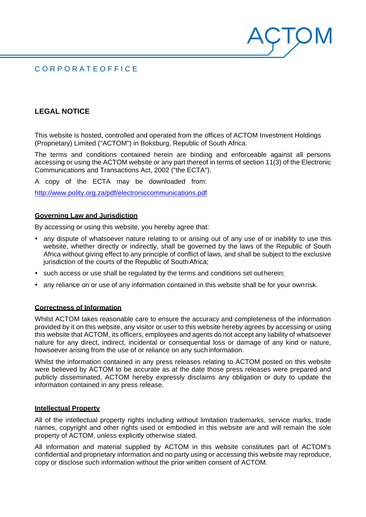# C O R P O R A T E O F F I C E

# **LEGAL NOTICE**

This website is hosted, controlled and operated from the offices of ACTOM Investment Holdings (Proprietary) Limited ("ACTOM") in Boksburg, Republic of South Africa.

The terms and conditions contained herein are binding and enforceable against all persons accessing or using the ACTOM website or any part thereof in terms of section 11(3) of the Electronic Communications and Transactions Act, 2002 ("the ECTA").

 $\cdot$  |  $\zeta$ 

A copy of the ECTA may be downloaded from:

<http://www.polity.org.za/pdf/electroniccommunications.pdf>

## **Governing Law and Jurisdiction**

By accessing or using this website, you hereby agree that:

- any dispute of whatsoever nature relating to or arising out of any use of or inability to use this website, whether directly or indirectly, shall be governed by the laws of the Republic of South Africa without giving effect to any principle of conflict of laws, and shall be subject to the exclusive jurisdiction of the courts of the Republic of South Africa;
- such access or use shall be regulated by the terms and conditions set outherein;
- any reliance on or use of any information contained in this website shall be for your own risk.

#### **Correctness of Information**

Whilst ACTOM takes reasonable care to ensure the accuracy and completeness of the information provided by it on this website, any visitor or user to this website hereby agrees by accessing or using this website that ACTOM, its officers, employees and agents do not accept any liability of whatsoever nature for any direct, indirect, incidental or consequential loss or damage of any kind or nature, howsoever arising from the use of or reliance on any suchinformation.

Whilst the information contained in any press releases relating to ACTOM posted on this website were believed by ACTOM to be accurate as at the date those press releases were prepared and publicly disseminated, ACTOM hereby expressly disclaims any obligation or duty to update the information contained in any press release.

#### **Intellectual Property**

All of the intellectual property rights including without limitation trademarks, service marks, trade names, copyright and other rights used or embodied in this website are and will remain the sole property of ACTOM, unless explicitly otherwise stated.

All information and material supplied by ACTOM in this website constitutes part of ACTOM's confidential and proprietary information and no party using or accessing this website may reproduce, copy or disclose such information without the prior written consent of ACTOM.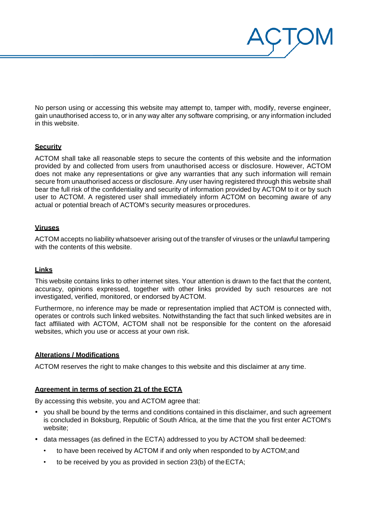No person using or accessing this website may attempt to, tamper with, modify, reverse engineer, gain unauthorised access to, or in any way alter any software comprising, or any information included in this website.

 $\overline{\phantom{a}}$  )  $\overline{\phantom{a}}$ 

# **Security**

ACTOM shall take all reasonable steps to secure the contents of this website and the information provided by and collected from users from unauthorised access or disclosure. However, ACTOM does not make any representations or give any warranties that any such information will remain secure from unauthorised access or disclosure. Any user having registered through this website shall bear the full risk of the confidentiality and security of information provided by ACTOM to it or by such user to ACTOM. A registered user shall immediately inform ACTOM on becoming aware of any actual or potential breach of ACTOM's security measures orprocedures.

# **Viruses**

ACTOM accepts no liability whatsoever arising out of the transfer of viruses or the unlawful tampering with the contents of this website.

# **Links**

This website contains links to other internet sites. Your attention is drawn to the fact that the content, accuracy, opinions expressed, together with other links provided by such resources are not investigated, verified, monitored, or endorsed byACTOM.

Furthermore, no inference may be made or representation implied that ACTOM is connected with, operates or controls such linked websites. Notwithstanding the fact that such linked websites are in fact affiliated with ACTOM, ACTOM shall not be responsible for the content on the aforesaid websites, which you use or access at your own risk.

# **Alterations / Modifications**

ACTOM reserves the right to make changes to this website and this disclaimer at any time.

#### **Agreement in terms of section 21 of the ECTA**

By accessing this website, you and ACTOM agree that:

- you shall be bound by the terms and conditions contained in this disclaimer, and such agreement is concluded in Boksburg, Republic of South Africa, at the time that the you first enter ACTOM's website:
- data messages (as defined in the ECTA) addressed to you by ACTOM shall bedeemed:
	- to have been received by ACTOM if and only when responded to by ACTOM;and
	- to be received by you as provided in section 23(b) of theECTA;